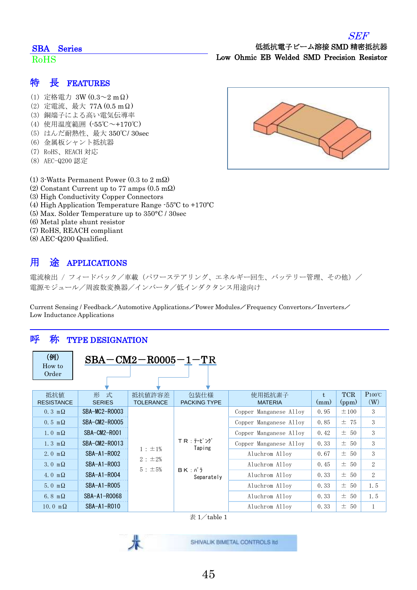#### SEF

### SBA Series

#### RoHS

#### 特 長 FEATURES

- (1) 定格電力 3W (0.3~2 mΩ)
- (2) 定電流、最大 77A (0.5 mΩ)
- (3) 銅端子による高い電気伝導率
- (4) 使用温度範囲 (-55℃~+170℃)
- (5) はんだ耐熱性、最大 350℃/ 30sec
- (6) 金属板シャント抵抗器
- (7) RoHS、REACH 対応
- (8) AEC-Q200 認定
- (1) 3-Watts Permanent Power (0.3 to 2 mΩ)
- (2) Constant Current up to 77 amps (0.5 mΩ)
- (3) High Conductivity Copper Connectors
- (4) High Application Temperature Range -55ºC to +170ºC
- (5) Max. Solder Temperature up to 350°C / 30sec
- (6) Metal plate shunt resistor
- (7) RoHS, REACH compliant
- (8) AEC-Q200 Qualified.

## 用 途 APPLICATIONS

電流検出 / フィードバック/車載(パワーステアリング、エネルギー回生、バッテリー管理、その他)/ 電源モジュール/周波数変換器/インバータ/低インダクタンス用途向け

Current Sensing / Feedback/Automotive Applications/Power Modules/Frequency Convertors/Inverters/ Low Inductance Applications

### 呼 称 TYPE DESIGNATION

| (例)<br>How to<br>Order   | $SBA-CM2-R0005-1-TR$ |                                                    |                             |                          |                 |                     |                        |
|--------------------------|----------------------|----------------------------------------------------|-----------------------------|--------------------------|-----------------|---------------------|------------------------|
| 抵抗值<br><b>RESISTANCE</b> | 形 式<br><b>SERIES</b> | 抵抗値許容差<br><b>TOLERANCE</b>                         | 包装仕様<br><b>PACKING TYPE</b> | 使用抵抗素子<br><b>MATERIA</b> | $t_{i}$<br>(mm) | <b>TCR</b><br>(ppm) | $P100^{\circ}C$<br>(W) |
| $0.3 \text{ m}\Omega$    | SBA-MC2-R0003        |                                                    |                             | Copper Manganese Alloy   | 0.95            | $\pm 100$           | 3                      |
| $0.5 \text{ m}\Omega$    | SBA-CM2-R0005        | $TR : \bar{t} - L^2 \mathcal{V}$                   | Copper Manganese Alloy      | 0.85                     | ±75             | 3                   |                        |
| $1.0 \text{ m}\Omega$    | SBA-CM2-ROO1         |                                                    | Copper Manganese Alloy      | 0.42                     | $\pm$ 50        | 3                   |                        |
| $1.3 \text{ m}\Omega$    | SBA-CM2-R0013        |                                                    | Copper Manganese Alloy      | 0.33                     | $\pm$ 50        | 3                   |                        |
| 2. 0 $m\Omega$           | SBA-A1-R002          |                                                    | Taping<br>$1 : \pm 1\%$     | Aluchrom Alloy           | 0.67            | $\pm$ 50            | 3                      |
| 3.0 m $\Omega$           | SBA-A1-R003          | 2 : ±2%<br>$5: \pm 5\%$<br>$BK: N$ ;<br>Separately | Aluchrom Alloy              | 0.45                     | $\pm$ 50        | $\overline{2}$      |                        |
| 4.0 m $\Omega$           | SBA-A1-R004          |                                                    |                             | Aluchrom Alloy           | 0.33            | $\pm$ 50            | $\overline{2}$         |
| 5.0 m $\Omega$           | SBA-A1-R005          |                                                    |                             | Aluchrom Alloy           | 0.33            | $\pm$ 50            | 1.5                    |
| 6.8 m $\Omega$           | SBA-A1-R0068         |                                                    |                             | Aluchrom Alloy           | 0.33            | ± 50                | 1.5                    |
| 10.0 m $\Omega$          | SBA-A1-R010          |                                                    |                             | Aluchrom Alloy           | 0.33            | $\pm$ 50            | $\mathbf{1}$           |

表  $1/\tanh 1$ 

SHIVALIK BIMETAL CONTROLS IId

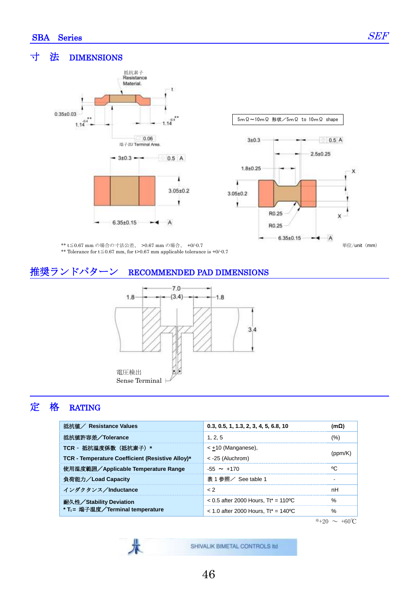Ī

#### 寸 法 DIMENSIONS





\*\* t≦0.67 mm の場合の寸法公差、 >0.67 mm の場合、 +0/-0.7 \*\* Tolerance for t≦0.67 mm, for t>0.67 mm applicable tolerance is +0/-0.7

#### 推奨ランドパターン RECOMMENDED PAD DIMENSIONS



### 定 格 RATING

| 抵抗値 / Resistance Values                          | 0.3, 0.5, 1, 1.3, 2, 3, 4, 5, 6.8, 10  | (mΩ) |  |
|--------------------------------------------------|----------------------------------------|------|--|
| 抵抗値許容差/Tolerance                                 | 1, 2, 5                                | (%)  |  |
| TCR - 抵抗温度係数 (抵抗素子) *                            | $\leq$ +10 (Manganese),                |      |  |
| TCR - Temperature Coefficient (Resistive Alloy)* | $\leq$ -25 (Aluchrom)                  |      |  |
| 使用温度範囲/Applicable Temperature Range              | $-55 \sim +170$                        | °C   |  |
| 負荷能力/Load Capacity                               | 表 1 参照/ See table 1                    |      |  |
| インダクタンス/Inductance                               | $\langle$ 2                            | nH   |  |
| 耐久性/Stability Deviation                          | $< 0.5$ after 2000 Hours. Tt* = 110 °C | $\%$ |  |
| * T <sub>t</sub> = 端子温度/Terminal temperature     | $<$ 1.0 after 2000 Hours. Tt* = 140 °C | $\%$ |  |

 $*+20 \sim +60$ °C

SHIVALIK BIMETAL CONTROLS IId